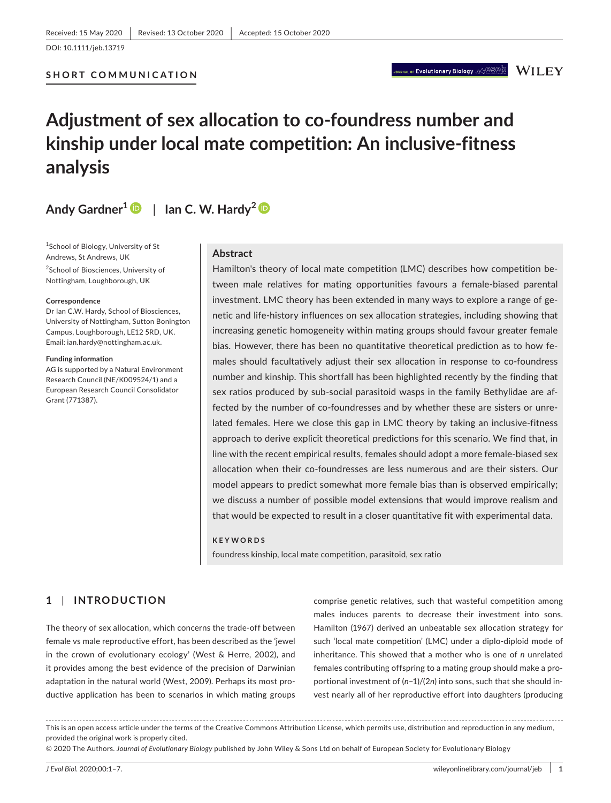**SHORT COMMUNICATION**

NAL or Evolutionary Biology  $\otimes$   $\circledcirc$  and  $\mathbb{W}$  [  $\mathbb{E} \mathbf{Y}$ 

# **Adjustment of sex allocation to co-foundress number and kinship under local mate competition: An inclusive-fitness analysis**

Andy Gardner<sup>1</sup>  $\bullet$  | Ian C. W. Hardy<sup>2</sup>  $\bullet$ 

1 School of Biology, University of St Andrews, St Andrews, UK <sup>2</sup>School of Biosciences, University of Nottingham, Loughborough, UK

#### **Correspondence**

Dr Ian C.W. Hardy, School of Biosciences, University of Nottingham, Sutton Bonington Campus, Loughborough, LE12 5RD, UK. Email: [ian.hardy@nottingham.ac.uk](mailto:ian.hardy@nottingham.ac.uk).

#### **Funding information**

AG is supported by a Natural Environment Research Council (NE/K009524/1) and a European Research Council Consolidator Grant (771387).

## **Abstract**

Hamilton's theory of local mate competition (LMC) describes how competition between male relatives for mating opportunities favours a female-biased parental investment. LMC theory has been extended in many ways to explore a range of genetic and life-history influences on sex allocation strategies, including showing that increasing genetic homogeneity within mating groups should favour greater female bias. However, there has been no quantitative theoretical prediction as to how females should facultatively adjust their sex allocation in response to co-foundress number and kinship. This shortfall has been highlighted recently by the finding that sex ratios produced by sub-social parasitoid wasps in the family Bethylidae are affected by the number of co-foundresses and by whether these are sisters or unrelated females. Here we close this gap in LMC theory by taking an inclusive-fitness approach to derive explicit theoretical predictions for this scenario. We find that, in line with the recent empirical results, females should adopt a more female-biased sex allocation when their co-foundresses are less numerous and are their sisters. Our model appears to predict somewhat more female bias than is observed empirically; we discuss a number of possible model extensions that would improve realism and that would be expected to result in a closer quantitative fit with experimental data.

#### **KEYWORDS**

foundress kinship, local mate competition, parasitoid, sex ratio

# **1** | **INTRODUCTION**

The theory of sex allocation, which concerns the trade-off between female vs male reproductive effort, has been described as the 'jewel in the crown of evolutionary ecology' (West & Herre, 2002), and it provides among the best evidence of the precision of Darwinian adaptation in the natural world (West, 2009). Perhaps its most productive application has been to scenarios in which mating groups

comprise genetic relatives, such that wasteful competition among males induces parents to decrease their investment into sons. Hamilton (1967) derived an unbeatable sex allocation strategy for such 'local mate competition' (LMC) under a diplo-diploid mode of inheritance. This showed that a mother who is one of *n* unrelated females contributing offspring to a mating group should make a proportional investment of (*n*–1)/(2*n*) into sons, such that she should invest nearly all of her reproductive effort into daughters (producing

This is an open access article under the terms of the [Creative Commons Attribution](http://creativecommons.org/licenses/by/4.0/) License, which permits use, distribution and reproduction in any medium, provided the original work is properly cited.

© 2020 The Authors. *Journal of Evolutionary Biology* published by John Wiley & Sons Ltd on behalf of European Society for Evolutionary Biology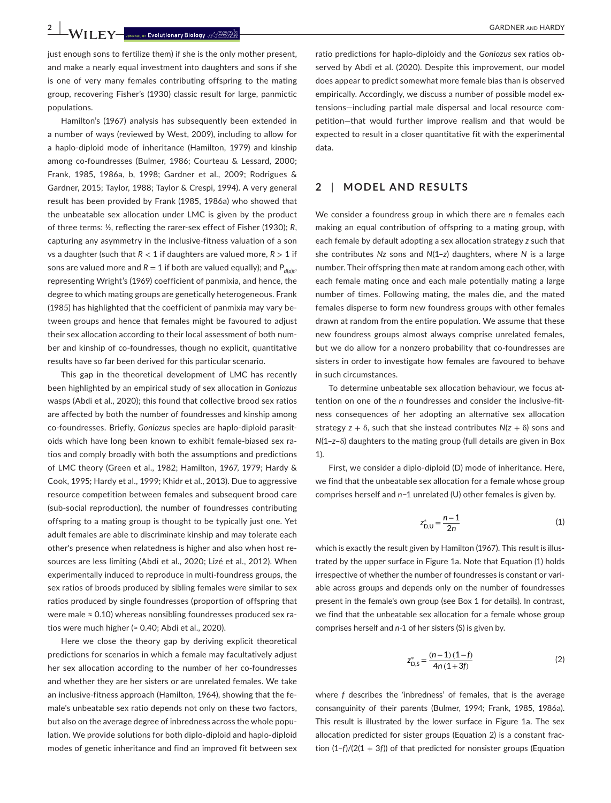**2 |**  GARDNER and HARDY

just enough sons to fertilize them) if she is the only mother present. and make a nearly equal investment into daughters and sons if she is one of very many females contributing offspring to the mating group, recovering Fisher's (1930) classic result for large, panmictic populations.

Hamilton's (1967) analysis has subsequently been extended in a number of ways (reviewed by West, 2009), including to allow for a haplo-diploid mode of inheritance (Hamilton, 1979) and kinship among co-foundresses (Bulmer, 1986; Courteau & Lessard, 2000; Frank, 1985, 1986a, b, 1998; Gardner et al., 2009; Rodrigues & Gardner, 2015; Taylor, 1988; Taylor & Crespi, 1994). A very general result has been provided by Frank (1985, 1986a) who showed that the unbeatable sex allocation under LMC is given by the product of three terms: ½, reflecting the rarer-sex effect of Fisher (1930); *R*, capturing any asymmetry in the inclusive-fitness valuation of a son vs a daughter (such that  $R < 1$  if daughters are valued more,  $R > 1$  if sons are valued more and  $R = 1$  if both are valued equally); and  $P_{d(d)t}$ , representing Wright's (1969) coefficient of panmixia, and hence, the degree to which mating groups are genetically heterogeneous. Frank (1985) has highlighted that the coefficient of panmixia may vary between groups and hence that females might be favoured to adjust their sex allocation according to their local assessment of both number and kinship of co-foundresses, though no explicit, quantitative results have so far been derived for this particular scenario.

This gap in the theoretical development of LMC has recently been highlighted by an empirical study of sex allocation in *Goniozus* wasps (Abdi et al., 2020); this found that collective brood sex ratios are affected by both the number of foundresses and kinship among co-foundresses. Briefly, *Goniozus* species are haplo-diploid parasitoids which have long been known to exhibit female-biased sex ratios and comply broadly with both the assumptions and predictions of LMC theory (Green et al., 1982; Hamilton, 1967, 1979; Hardy & Cook, 1995; Hardy et al., 1999; Khidr et al., 2013). Due to aggressive resource competition between females and subsequent brood care (sub-social reproduction), the number of foundresses contributing offspring to a mating group is thought to be typically just one. Yet adult females are able to discriminate kinship and may tolerate each other's presence when relatedness is higher and also when host resources are less limiting (Abdi et al., 2020; Lizé et al., 2012). When experimentally induced to reproduce in multi-foundress groups, the sex ratios of broods produced by sibling females were similar to sex ratios produced by single foundresses (proportion of offspring that were male  $\approx$  0.10) whereas nonsibling foundresses produced sex ratios were much higher (≈ 0.40; Abdi et al., 2020).

Here we close the theory gap by deriving explicit theoretical predictions for scenarios in which a female may facultatively adjust her sex allocation according to the number of her co-foundresses and whether they are her sisters or are unrelated females. We take an inclusive-fitness approach (Hamilton, 1964), showing that the female's unbeatable sex ratio depends not only on these two factors, but also on the average degree of inbredness across the whole population. We provide solutions for both diplo-diploid and haplo-diploid modes of genetic inheritance and find an improved fit between sex

ratio predictions for haplo-diploidy and the *Goniozus* sex ratios observed by Abdi et al. (2020). Despite this improvement, our model does appear to predict somewhat more female bias than is observed empirically. Accordingly, we discuss a number of possible model extensions—including partial male dispersal and local resource competition—that would further improve realism and that would be expected to result in a closer quantitative fit with the experimental data.

## **2** | **MODEL AND RESULTS**

We consider a foundress group in which there are *n* females each making an equal contribution of offspring to a mating group, with each female by default adopting a sex allocation strategy *z* such that she contributes *Nz* sons and *N*(1–*z*) daughters, where *N* is a large number. Their offspring then mate at random among each other, with each female mating once and each male potentially mating a large number of times. Following mating, the males die, and the mated females disperse to form new foundress groups with other females drawn at random from the entire population. We assume that these new foundress groups almost always comprise unrelated females, but we do allow for a nonzero probability that co-foundresses are sisters in order to investigate how females are favoured to behave in such circumstances.

To determine unbeatable sex allocation behaviour, we focus attention on one of the *n* foundresses and consider the inclusive-fitness consequences of her adopting an alternative sex allocation strategy *z* + δ, such that she instead contributes *N*(*z* + δ) sons and *N*(1–*z*–δ) daughters to the mating group (full details are given in Box 1).

First, we consider a diplo-diploid (D) mode of inheritance. Here, we find that the unbeatable sex allocation for a female whose group comprises herself and *n*−1 unrelated (U) other females is given by.

$$
z_{\rm D,U}^* = \frac{n-1}{2n} \tag{1}
$$

which is exactly the result given by Hamilton (1967). This result is illustrated by the upper surface in Figure 1a. Note that Equation (1) holds irrespective of whether the number of foundresses is constant or variable across groups and depends only on the number of foundresses present in the female's own group (see Box 1 for details). In contrast, we find that the unbeatable sex allocation for a female whose group comprises herself and *n*-1 of her sisters (S) is given by.

$$
z_{\rm D,S}^{*} = \frac{(n-1)(1-f)}{4n(1+3f)}
$$
 (2)

where *f* describes the 'inbredness' of females, that is the average consanguinity of their parents (Bulmer, 1994; Frank, 1985, 1986a). This result is illustrated by the lower surface in Figure 1a. The sex allocation predicted for sister groups (Equation 2) is a constant fraction (1−*f*)/(2(1 + 3*f*)) of that predicted for nonsister groups (Equation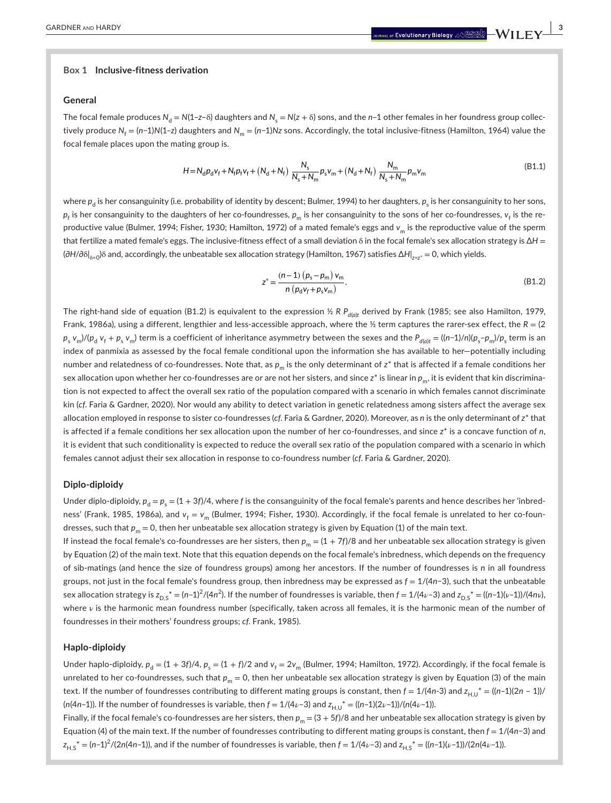#### **Box 1 Inclusive-fitness derivation**

#### **General**

The focal female produces  $N_d = N(1-z-\delta)$  daughters and  $N_s = N(z+\delta)$  sons, and the *n*-1 other females in her foundress group collectively produce  $N_f = (n-1)N(1-z)$  daughters and  $N_m = (n-1)Nz$  sons. Accordingly, the total inclusive-fitness (Hamilton, 1964) value the focal female places upon the mating group is.

$$
H = N_d p_d v_f + N_f p_f v_f + (N_d + N_f) \frac{N_s}{N_s + N_m} p_s v_m + (N_d + N_f) \frac{N_m}{N_s + N_m} p_m v_m
$$
\n(B1.1)

where  $p_{\sf d}$  is her consanguinity (i.e. probability of identity by descent; Bulmer, 1994) to her daughters,  $p_{\sf s}$  is her consanguinity to her sons,  $p_{\mathsf{f}}$  is her consanguinity to the daughters of her co-foundresses,  $p_{\mathsf{m}}$  is her consanguinity to the sons of her co-foundresses,  ${\mathsf v}_{\mathsf{f}}$  is the reproductive value (Bulmer, 1994; Fisher, 1930; Hamilton, 1972) of a mated female's eggs and *v*<sub>m</sub> is the reproductive value of the sperm that fertilize a mated female's eggs. The inclusive-fitness effect of a small deviation δ in the focal female's sex allocation strategy is ∆*H* = (∂*H*/∂δ| <sup>δ</sup>=0)δ and, accordingly, the unbeatable sex allocation strategy (Hamilton, 1967) satisfies ∆*H*| *<sup>z</sup>*=*z*\* = 0, which yields.

$$
z^* = \frac{(n-1)\ (p_s - p_m)\ v_m}{n\ (p_d v_f + p_s v_m)}.
$$
 (B1.2)

The right-hand side of equation (B1.2) is equivalent to the expression ½ R  $P_{d(\alpha)t}$  derived by Frank (1985; see also Hamilton, 1979, Frank, 1986a), using a different, lengthier and less-accessible approach, where the  $\frac{1}{2}$  term captures the rarer-sex effect, the  $R = (2)$  $p_{_{\rm S}}$   $v_{_{\rm m}})/ (p_{_{\rm d}}$   $v_{_{\rm f}}+p_{_{\rm S}}$   $v_{_{\rm m}})$  term is a coefficient of inheritance asymmetry between the sexes and the  $P_{_{d(d)}t}=($  ((n–1)/n)( $p_{_{\rm S}}$ – $p_{_{\rm m}}$ )/ $p_{_{\rm S}}$  term is an index of panmixia as assessed by the focal female conditional upon the information she has available to her—potentially including number and relatedness of co-foundresses. Note that, as  $p_m$  is the only determinant of  $z^*$  that is affected if a female conditions her sex allocation upon whether her co-foundresses are or are not her sisters, and since *z*\* is linear in  $p_m$ , it is evident that kin discrimination is not expected to affect the overall sex ratio of the population compared with a scenario in which females cannot discriminate kin (*cf*. Faria & Gardner, 2020). Nor would any ability to detect variation in genetic relatedness among sisters affect the average sex allocation employed in response to sister co-foundresses (*cf*. Faria & Gardner, 2020). Moreover, as *n* is the only determinant of *z*\* that is affected if a female conditions her sex allocation upon the number of her co-foundresses, and since *z*\* is a concave function of *n*, it is evident that such conditionality is expected to reduce the overall sex ratio of the population compared with a scenario in which females cannot adjust their sex allocation in response to co-foundress number (*cf*. Faria & Gardner, 2020).

## **Diplo-diploidy**

Under diplo-diploidy,  $p_d = p_s = (1 + 3f)/4$ , where *f* is the consanguinity of the focal female's parents and hence describes her 'inbredness' (Frank, 1985, 1986a), and  $v_f = v_m$  (Bulmer, 1994; Fisher, 1930). Accordingly, if the focal female is unrelated to her co-foundresses, such that  $p_m = 0$ , then her unbeatable sex allocation strategy is given by Equation (1) of the main text.

If instead the focal female's co-foundresses are her sisters, then  $p_m = (1 + 7f)/8$  and her unbeatable sex allocation strategy is given by Equation (2) of the main text. Note that this equation depends on the focal female's inbredness, which depends on the frequency of sib-matings (and hence the size of foundress groups) among her ancestors. If the number of foundresses is *n* in all foundress groups, not just in the focal female's foundress group, then inbredness may be expressed as *f* = 1/(4*n*−3), such that the unbeatable sex allocation strategy is  $z_{D,S}^* = (n-1)^2/(4n^2)$ . If the number of foundresses is variable, then  $f = 1/(4\nu$ –3) and  $z_{D,S}^* = ((n-1)(\nu-1))/(4n\nu)$ , where ν is the harmonic mean foundress number (specifically, taken across all females, it is the harmonic mean of the number of foundresses in their mothers' foundress groups; *cf*. Frank, 1985).

## **Haplo-diploidy**

Under haplo-diploidy,  $p_d = (1 + 3f)/4$ ,  $p_s = (1 + f)/2$  and  $v_f = 2v_m$  (Bulmer, 1994; Hamilton, 1972). Accordingly, if the focal female is unrelated to her co-foundresses, such that  $p_m = 0$ , then her unbeatable sex allocation strategy is given by Equation (3) of the main text. If the number of foundresses contributing to different mating groups is constant, then  $f = 1/(4n-3)$  and  $z_{HU}^* = ((n-1)(2n-1))/2$  $(n(4n-1))$ . If the number of foundresses is variable, then  $f = 1/(4\nu-3)$  and  $z_{H,U}^* = ((n-1)(2\nu-1))/(n(4\nu-1))$ .

Finally, if the focal female's co-foundresses are her sisters, then  $p_m = (3 + 5f)/8$  and her unbeatable sex allocation strategy is given by Equation (4) of the main text. If the number of foundresses contributing to different mating groups is constant, then *f* = 1/(4*n*−3) and  $z_{H,S}^{*}$  = (*n*–1)<sup>2</sup>/(2*n*(4*n–*1)), and if the number of foundresses is variable, then *f* = 1/(4*ν*–3) and  $z_{H,S}^{*}$  = ((*n–*1)(*v–*1))/(2*n*(4*ν–*1)).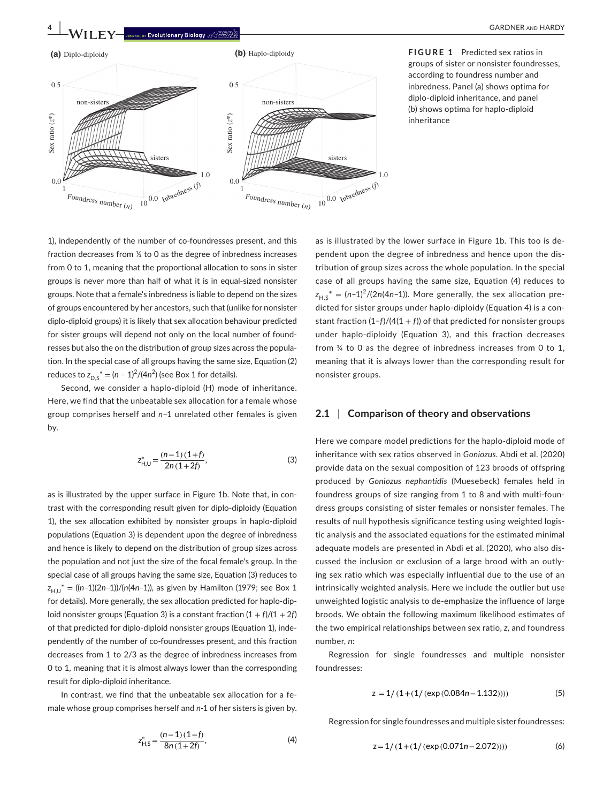

**FIGURE 1** Predicted sex ratios in groups of sister or nonsister foundresses, according to foundress number and inbredness. Panel (a) shows optima for diplo-diploid inheritance, and panel (b) shows optima for haplo-diploid inheritance

1), independently of the number of co-foundresses present, and this fraction decreases from ½ to 0 as the degree of inbredness increases from 0 to 1, meaning that the proportional allocation to sons in sister groups is never more than half of what it is in equal-sized nonsister groups. Note that a female's inbredness is liable to depend on the sizes of groups encountered by her ancestors, such that (unlike for nonsister diplo-diploid groups) it is likely that sex allocation behaviour predicted for sister groups will depend not only on the local number of foundresses but also the on the distribution of group sizes across the population. In the special case of all groups having the same size, Equation (2) reduces to  $z_{D,S}^* = (n - 1)^2 / (4n^2)$  (see Box 1 for details).

Second, we consider a haplo-diploid (H) mode of inheritance. Here, we find that the unbeatable sex allocation for a female whose group comprises herself and *n*−1 unrelated other females is given by.

$$
z_{H,U}^* = \frac{(n-1)(1+f)}{2n(1+2f)},
$$
\n(3)

as is illustrated by the upper surface in Figure 1b. Note that, in contrast with the corresponding result given for diplo-diploidy (Equation 1), the sex allocation exhibited by nonsister groups in haplo-diploid populations (Equation 3) is dependent upon the degree of inbredness and hence is likely to depend on the distribution of group sizes across the population and not just the size of the focal female's group. In the special case of all groups having the same size, Equation (3) reduces to  $z_{H\,U}^* = ((n-1)(2n-1))/(n(4n-1))$ , as given by Hamilton (1979; see Box 1 for details). More generally, the sex allocation predicted for haplo-diploid nonsister groups (Equation 3) is a constant fraction  $(1 + f)/(1 + 2f)$ of that predicted for diplo-diploid nonsister groups (Equation 1), independently of the number of co-foundresses present, and this fraction decreases from 1 to 2/3 as the degree of inbredness increases from 0 to 1, meaning that it is almost always lower than the corresponding result for diplo-diploid inheritance.

In contrast, we find that the unbeatable sex allocation for a female whose group comprises herself and *n*-1 of her sisters is given by.

$$
Z_{H,S}^{*} = \frac{(n-1)(1-f)}{8n(1+2f)},
$$
\n(4)

as is illustrated by the lower surface in Figure 1b. This too is dependent upon the degree of inbredness and hence upon the distribution of group sizes across the whole population. In the special case of all groups having the same size, Equation (4) reduces to  $z_{H,S}^* = (n-1)^2/(2n(4n-1))$ . More generally, the sex allocation predicted for sister groups under haplo-diploidy (Equation 4) is a constant fraction (1−*f*)/(4(1 + *f*)) of that predicted for nonsister groups under haplo-diploidy (Equation 3), and this fraction decreases from ¼ to 0 as the degree of inbredness increases from 0 to 1, meaning that it is always lower than the corresponding result for nonsister groups.

## **2.1** | **Comparison of theory and observations**

Here we compare model predictions for the haplo-diploid mode of inheritance with sex ratios observed in *Goniozus*. Abdi et al. (2020) provide data on the sexual composition of 123 broods of offspring produced by *Goniozus nephantidis* (Muesebeck) females held in foundress groups of size ranging from 1 to 8 and with multi-foundress groups consisting of sister females or nonsister females. The results of null hypothesis significance testing using weighted logistic analysis and the associated equations for the estimated minimal adequate models are presented in Abdi et al. (2020), who also discussed the inclusion or exclusion of a large brood with an outlying sex ratio which was especially influential due to the use of an intrinsically weighted analysis. Here we include the outlier but use unweighted logistic analysis to de-emphasize the influence of large broods. We obtain the following maximum likelihood estimates of the two empirical relationships between sex ratio, *z*, and foundress number, *n*:

Regression for single foundresses and multiple nonsister foundresses:

$$
z = 1/(1 + (1/(\exp(0.084n - 1.132))))
$$
\n(5)

Regression for single foundresses and multiple sister foundresses:

$$
z = 1/(1 + (1/(\exp(0.071n - 2.072))))
$$
 (6)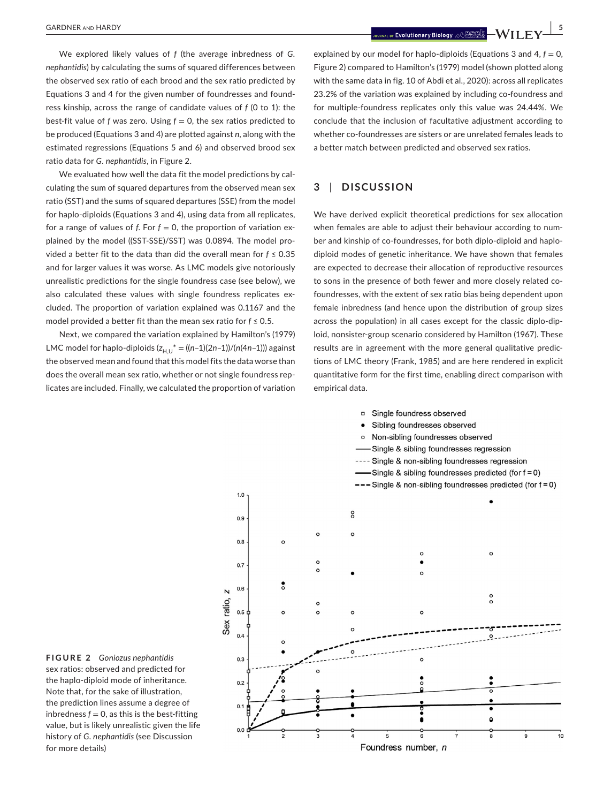We explored likely values of *f* (the average inbredness of *G. nephantidis*) by calculating the sums of squared differences between the observed sex ratio of each brood and the sex ratio predicted by Equations 3 and 4 for the given number of foundresses and foundress kinship, across the range of candidate values of *f* (0 to 1): the best-fit value of  $f$  was zero. Using  $f = 0$ , the sex ratios predicted to be produced (Equations 3 and 4) are plotted against *n*, along with the estimated regressions (Equations 5 and 6) and observed brood sex ratio data for *G. nephantidis*, in Figure 2.

We evaluated how well the data fit the model predictions by calculating the sum of squared departures from the observed mean sex ratio (SST) and the sums of squared departures (SSE) from the model for haplo-diploids (Equations 3 and 4), using data from all replicates, for a range of values of *f*. For  $f = 0$ , the proportion of variation explained by the model ((SST-SSE)/SST) was 0.0894. The model provided a better fit to the data than did the overall mean for *f* ≤ 0.35 and for larger values it was worse. As LMC models give notoriously unrealistic predictions for the single foundress case (see below), we also calculated these values with single foundress replicates excluded. The proportion of variation explained was 0.1167 and the model provided a better fit than the mean sex ratio for *f* ≤ 0.5.

Next, we compared the variation explained by Hamilton's (1979) LMC model for haplo-diploids  $(z_{H,U}^* = ((n-1)(2n-1))/(n(4n-1)))$  against the observed mean and found that this model fits the data worse than does the overall mean sex ratio, whether or not single foundress replicates are included. Finally, we calculated the proportion of variation

 **|** GARDNER and HARDY **5**

explained by our model for haplo-diploids (Equations 3 and  $4, f = 0$ , Figure 2) compared to Hamilton's (1979) model (shown plotted along with the same data in fig. 10 of Abdi et al., 2020): across all replicates 23.2% of the variation was explained by including co-foundress and for multiple-foundress replicates only this value was 24.44%. We conclude that the inclusion of facultative adjustment according to whether co-foundresses are sisters or are unrelated females leads to a better match between predicted and observed sex ratios.

# **3** | **DISCUSSION**

We have derived explicit theoretical predictions for sex allocation when females are able to adjust their behaviour according to number and kinship of co-foundresses, for both diplo-diploid and haplodiploid modes of genetic inheritance. We have shown that females are expected to decrease their allocation of reproductive resources to sons in the presence of both fewer and more closely related cofoundresses, with the extent of sex ratio bias being dependent upon female inbredness (and hence upon the distribution of group sizes across the population) in all cases except for the classic diplo-diploid, nonsister-group scenario considered by Hamilton (1967). These results are in agreement with the more general qualitative predictions of LMC theory (Frank, 1985) and are here rendered in explicit quantitative form for the first time, enabling direct comparison with empirical data.



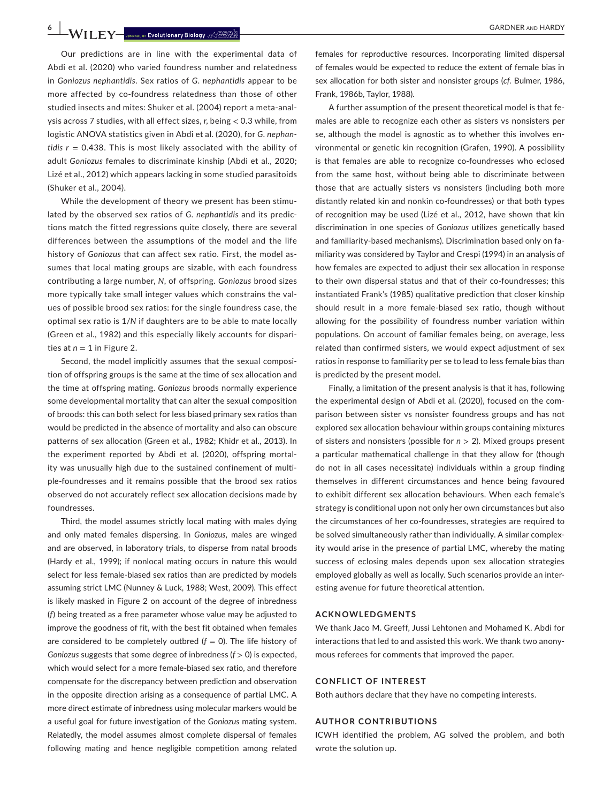**6 |**  GARDNER and HARDY

Our predictions are in line with the experimental data of Abdi et al. (2020) who varied foundress number and relatedness in *Goniozus nephantidis*. Sex ratios of *G. nephantidis* appear to be more affected by co-foundress relatedness than those of other studied insects and mites: Shuker et al. (2004) report a meta-analysis across 7 studies, with all effect sizes, *r*, being < 0.3 while, from logistic ANOVA statistics given in Abdi et al. (2020), for *G. nephantidis r* = 0.438. This is most likely associated with the ability of adult *Goniozus* females to discriminate kinship (Abdi et al., 2020; Lizé et al., 2012) which appears lacking in some studied parasitoids (Shuker et al., 2004).

While the development of theory we present has been stimulated by the observed sex ratios of *G. nephantidis* and its predictions match the fitted regressions quite closely, there are several differences between the assumptions of the model and the life history of *Goniozus* that can affect sex ratio. First, the model assumes that local mating groups are sizable, with each foundress contributing a large number, *N*, of offspring. *Goniozus* brood sizes more typically take small integer values which constrains the values of possible brood sex ratios: for the single foundress case, the optimal sex ratio is 1/*N* if daughters are to be able to mate locally (Green et al., 1982) and this especially likely accounts for disparities at  $n = 1$  in Figure 2.

Second, the model implicitly assumes that the sexual composition of offspring groups is the same at the time of sex allocation and the time at offspring mating. *Goniozus* broods normally experience some developmental mortality that can alter the sexual composition of broods: this can both select for less biased primary sex ratios than would be predicted in the absence of mortality and also can obscure patterns of sex allocation (Green et al., 1982; Khidr et al., 2013). In the experiment reported by Abdi et al. (2020), offspring mortality was unusually high due to the sustained confinement of multiple-foundresses and it remains possible that the brood sex ratios observed do not accurately reflect sex allocation decisions made by foundresses.

Third, the model assumes strictly local mating with males dying and only mated females dispersing. In *Goniozus,* males are winged and are observed, in laboratory trials, to disperse from natal broods (Hardy et al., 1999); if nonlocal mating occurs in nature this would select for less female-biased sex ratios than are predicted by models assuming strict LMC (Nunney & Luck, 1988; West, 2009). This effect is likely masked in Figure 2 on account of the degree of inbredness (*f*) being treated as a free parameter whose value may be adjusted to improve the goodness of fit, with the best fit obtained when females are considered to be completely outbred  $(f = 0)$ . The life history of *Goniozus* suggests that some degree of inbredness (*f* > 0) is expected, which would select for a more female-biased sex ratio, and therefore compensate for the discrepancy between prediction and observation in the opposite direction arising as a consequence of partial LMC. A more direct estimate of inbredness using molecular markers would be a useful goal for future investigation of the *Goniozus* mating system. Relatedly, the model assumes almost complete dispersal of females following mating and hence negligible competition among related

females for reproductive resources. Incorporating limited dispersal of females would be expected to reduce the extent of female bias in sex allocation for both sister and nonsister groups (*cf*. Bulmer, 1986, Frank, 1986b, Taylor, 1988).

A further assumption of the present theoretical model is that females are able to recognize each other as sisters vs nonsisters per se, although the model is agnostic as to whether this involves environmental or genetic kin recognition (Grafen, 1990). A possibility is that females are able to recognize co-foundresses who eclosed from the same host, without being able to discriminate between those that are actually sisters vs nonsisters (including both more distantly related kin and nonkin co-foundresses) or that both types of recognition may be used (Lizé et al., 2012, have shown that kin discrimination in one species of *Goniozus* utilizes genetically based and familiarity-based mechanisms). Discrimination based only on familiarity was considered by Taylor and Crespi (1994) in an analysis of how females are expected to adjust their sex allocation in response to their own dispersal status and that of their co-foundresses; this instantiated Frank's (1985) qualitative prediction that closer kinship should result in a more female-biased sex ratio, though without allowing for the possibility of foundress number variation within populations. On account of familiar females being, on average, less related than confirmed sisters, we would expect adjustment of sex ratios in response to familiarity per se to lead to less female bias than is predicted by the present model.

Finally, a limitation of the present analysis is that it has, following the experimental design of Abdi et al. (2020), focused on the comparison between sister vs nonsister foundress groups and has not explored sex allocation behaviour within groups containing mixtures of sisters and nonsisters (possible for *n* > 2). Mixed groups present a particular mathematical challenge in that they allow for (though do not in all cases necessitate) individuals within a group finding themselves in different circumstances and hence being favoured to exhibit different sex allocation behaviours. When each female's strategy is conditional upon not only her own circumstances but also the circumstances of her co-foundresses, strategies are required to be solved simultaneously rather than individually. A similar complexity would arise in the presence of partial LMC, whereby the mating success of eclosing males depends upon sex allocation strategies employed globally as well as locally. Such scenarios provide an interesting avenue for future theoretical attention.

#### **ACKNOWLEDGMENTS**

We thank Jaco M. Greeff, Jussi Lehtonen and Mohamed K. Abdi for interactions that led to and assisted this work. We thank two anonymous referees for comments that improved the paper.

### **CONFLICT OF INTEREST**

Both authors declare that they have no competing interests.

#### **AUTHOR CONTRIBUTIONS**

ICWH identified the problem, AG solved the problem, and both wrote the solution up.